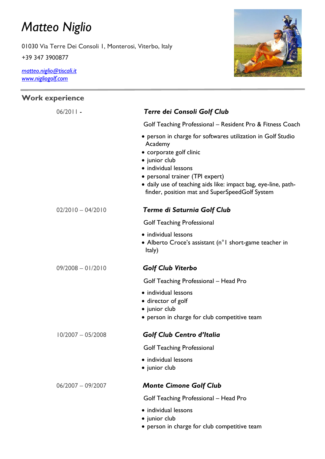## *Matteo Niglio*

01030 Via Terre Dei Consoli 1, Monterosi, Viterbo, Italy

+39 347 3900877

*[matteo.niglio](mailto:matteo.niglio@tiscali.it)@tiscali.it [www.nigliogolf.com](http://www.nigliogolf.com/)*

**Work experience**



| $06/2011 -$         | <b>Terre dei Consoli Golf Club</b>                                                                                                                                                                                                                                                                |
|---------------------|---------------------------------------------------------------------------------------------------------------------------------------------------------------------------------------------------------------------------------------------------------------------------------------------------|
|                     | Golf Teaching Professional – Resident Pro & Fitness Coach                                                                                                                                                                                                                                         |
|                     | • person in charge for softwares utilization in Golf Studio<br>Academy<br>• corporate golf clinic<br>• junior club<br>• individual lessons<br>• personal trainer (TPI expert)<br>· daily use of teaching aids like: impact bag, eye-line, path-<br>finder, position mat and SuperSpeedGolf System |
| $02/2010 - 04/2010$ | <b>Terme di Saturnia Golf Club</b>                                                                                                                                                                                                                                                                |
|                     | <b>Golf Teaching Professional</b>                                                                                                                                                                                                                                                                 |
|                     | • individual lessons<br>• Alberto Croce's assistant (n°I short-game teacher in<br>Italy)                                                                                                                                                                                                          |
| $09/2008 - 01/2010$ | <b>Golf Club Viterbo</b>                                                                                                                                                                                                                                                                          |
|                     | Golf Teaching Professional - Head Pro                                                                                                                                                                                                                                                             |
|                     | • individual lessons<br>· director of golf<br>• junior club<br>• person in charge for club competitive team                                                                                                                                                                                       |
| $10/2007 - 05/2008$ | <b>Golf Club Centro d'Italia</b>                                                                                                                                                                                                                                                                  |
|                     | <b>Golf Teaching Professional</b>                                                                                                                                                                                                                                                                 |
|                     | • individual lessons<br>• junior club                                                                                                                                                                                                                                                             |
| $06/2007 - 09/2007$ | <b>Monte Cimone Golf Club</b>                                                                                                                                                                                                                                                                     |
|                     | Golf Teaching Professional - Head Pro                                                                                                                                                                                                                                                             |
|                     | • individual lessons<br>• junior club                                                                                                                                                                                                                                                             |

person in charge for club competitive team